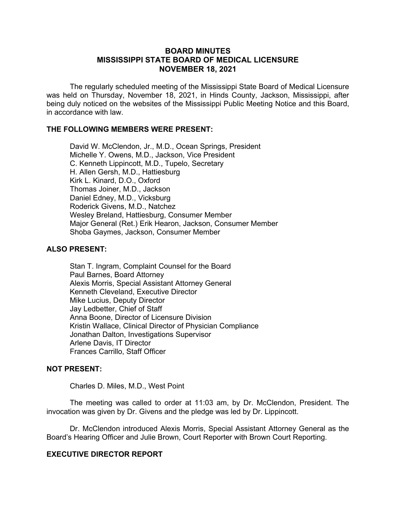## **BOARD MINUTES MISSISSIPPI STATE BOARD OF MEDICAL LICENSURE NOVEMBER 18, 2021**

The regularly scheduled meeting of the Mississippi State Board of Medical Licensure was held on Thursday, November 18, 2021, in Hinds County, Jackson, Mississippi, after being duly noticed on the websites of the Mississippi Public Meeting Notice and this Board, in accordance with law.

## **THE FOLLOWING MEMBERS WERE PRESENT:**

David W. McClendon, Jr., M.D., Ocean Springs, President Michelle Y. Owens, M.D., Jackson, Vice President C. Kenneth Lippincott, M.D., Tupelo, Secretary H. Allen Gersh, M.D., Hattiesburg Kirk L. Kinard, D.O., Oxford Thomas Joiner, M.D., Jackson Daniel Edney, M.D., Vicksburg Roderick Givens, M.D., Natchez Wesley Breland, Hattiesburg, Consumer Member Major General (Ret.) Erik Hearon, Jackson, Consumer Member Shoba Gaymes, Jackson, Consumer Member

## **ALSO PRESENT:**

Stan T. Ingram, Complaint Counsel for the Board Paul Barnes, Board Attorney Alexis Morris, Special Assistant Attorney General Kenneth Cleveland, Executive Director Mike Lucius, Deputy Director Jay Ledbetter, Chief of Staff Anna Boone, Director of Licensure Division Kristin Wallace, Clinical Director of Physician Compliance Jonathan Dalton, Investigations Supervisor Arlene Davis, IT Director Frances Carrillo, Staff Officer

## **NOT PRESENT:**

Charles D. Miles, M.D., West Point

The meeting was called to order at 11:03 am, by Dr. McClendon, President. The invocation was given by Dr. Givens and the pledge was led by Dr. Lippincott.

Dr. McClendon introduced Alexis Morris, Special Assistant Attorney General as the Board's Hearing Officer and Julie Brown, Court Reporter with Brown Court Reporting.

## **EXECUTIVE DIRECTOR REPORT**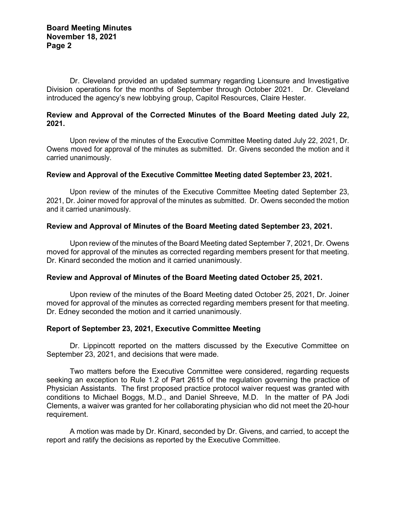Dr. Cleveland provided an updated summary regarding Licensure and Investigative Division operations for the months of September through October 2021. Dr. Cleveland introduced the agency's new lobbying group, Capitol Resources, Claire Hester.

## **Review and Approval of the Corrected Minutes of the Board Meeting dated July 22, 2021.**

Upon review of the minutes of the Executive Committee Meeting dated July 22, 2021, Dr. Owens moved for approval of the minutes as submitted. Dr. Givens seconded the motion and it carried unanimously.

## **Review and Approval of the Executive Committee Meeting dated September 23, 2021.**

Upon review of the minutes of the Executive Committee Meeting dated September 23, 2021, Dr. Joiner moved for approval of the minutes as submitted. Dr. Owens seconded the motion and it carried unanimously.

## **Review and Approval of Minutes of the Board Meeting dated September 23, 2021.**

Upon review of the minutes of the Board Meeting dated September 7, 2021, Dr. Owens moved for approval of the minutes as corrected regarding members present for that meeting. Dr. Kinard seconded the motion and it carried unanimously.

## **Review and Approval of Minutes of the Board Meeting dated October 25, 2021.**

Upon review of the minutes of the Board Meeting dated October 25, 2021, Dr. Joiner moved for approval of the minutes as corrected regarding members present for that meeting. Dr. Edney seconded the motion and it carried unanimously.

## **Report of September 23, 2021, Executive Committee Meeting**

Dr. Lippincott reported on the matters discussed by the Executive Committee on September 23, 2021, and decisions that were made.

Two matters before the Executive Committee were considered, regarding requests seeking an exception to Rule 1.2 of Part 2615 of the regulation governing the practice of Physician Assistants. The first proposed practice protocol waiver request was granted with conditions to Michael Boggs, M.D., and Daniel Shreeve, M.D. In the matter of PA Jodi Clements, a waiver was granted for her collaborating physician who did not meet the 20-hour requirement.

A motion was made by Dr. Kinard, seconded by Dr. Givens, and carried, to accept the report and ratify the decisions as reported by the Executive Committee.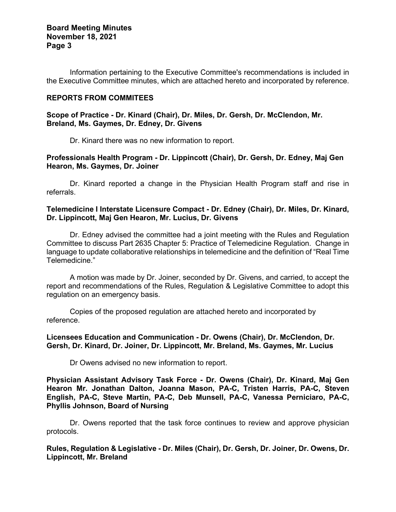# **Board Meeting Minutes November 18, 2021 Page 3**

Information pertaining to the Executive Committee's recommendations is included in the Executive Committee minutes, which are attached hereto and incorporated by reference.

## **REPORTS FROM COMMITEES**

**Scope of Practice - Dr. Kinard (Chair), Dr. Miles, Dr. Gersh, Dr. McClendon, Mr. Breland, Ms. Gaymes, Dr. Edney, Dr. Givens**

Dr. Kinard there was no new information to report.

## **Professionals Health Program - Dr. Lippincott (Chair), Dr. Gersh, Dr. Edney, Maj Gen Hearon, Ms. Gaymes, Dr. Joiner**

Dr. Kinard reported a change in the Physician Health Program staff and rise in referrals.

#### **Telemedicine I Interstate Licensure Compact - Dr. Edney (Chair), Dr. Miles, Dr. Kinard, Dr. Lippincott, Maj Gen Hearon, Mr. Lucius, Dr. Givens**

Dr. Edney advised the committee had a joint meeting with the Rules and Regulation Committee to discuss Part 2635 Chapter 5: Practice of Telemedicine Regulation. Change in language to update collaborative relationships in telemedicine and the definition of "Real Time Telemedicine."

A motion was made by Dr. Joiner, seconded by Dr. Givens, and carried, to accept the report and recommendations of the Rules, Regulation & Legislative Committee to adopt this regulation on an emergency basis.

Copies of the proposed regulation are attached hereto and incorporated by reference.

## **Licensees Education and Communication - Dr. Owens (Chair), Dr. McClendon, Dr. Gersh, Dr. Kinard, Dr. Joiner, Dr. Lippincott, Mr. Breland, Ms. Gaymes, Mr. Lucius**

Dr Owens advised no new information to report.

**Physician Assistant Advisory Task Force - Dr. Owens (Chair), Dr. Kinard, Maj Gen Hearon Mr. Jonathan Dalton, Joanna Mason, PA-C, Tristen Harris, PA-C, Steven English, PA-C, Steve Martin, PA-C, Deb Munsell, PA-C, Vanessa Perniciaro, PA-C, Phyllis Johnson, Board of Nursing**

Dr. Owens reported that the task force continues to review and approve physician protocols.

**Rules, Regulation & Legislative - Dr. Miles (Chair), Dr. Gersh, Dr. Joiner, Dr. Owens, Dr. Lippincott, Mr. Breland**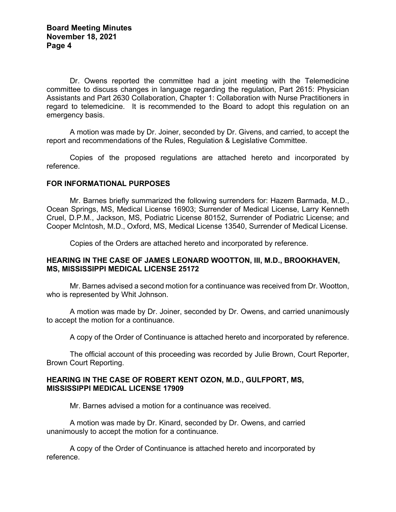Dr. Owens reported the committee had a joint meeting with the Telemedicine committee to discuss changes in language regarding the regulation, Part 2615: Physician Assistants and Part 2630 Collaboration, Chapter 1: Collaboration with Nurse Practitioners in regard to telemedicine. It is recommended to the Board to adopt this regulation on an emergency basis.

A motion was made by Dr. Joiner, seconded by Dr. Givens, and carried, to accept the report and recommendations of the Rules, Regulation & Legislative Committee.

Copies of the proposed regulations are attached hereto and incorporated by reference.

#### **FOR INFORMATIONAL PURPOSES**

Mr. Barnes briefly summarized the following surrenders for: Hazem Barmada, M.D., Ocean Springs, MS, Medical License 16903; Surrender of Medical License, Larry Kenneth Cruel, D.P.M., Jackson, MS, Podiatric License 80152, Surrender of Podiatric License; and Cooper McIntosh, M.D., Oxford, MS, Medical License 13540, Surrender of Medical License.

Copies of the Orders are attached hereto and incorporated by reference.

## **HEARING IN THE CASE OF JAMES LEONARD WOOTTON, III, M.D., BROOKHAVEN, MS, MISSISSIPPI MEDICAL LICENSE 25172**

Mr. Barnes advised a second motion for a continuance was received from Dr. Wootton, who is represented by Whit Johnson.

A motion was made by Dr. Joiner, seconded by Dr. Owens, and carried unanimously to accept the motion for a continuance.

A copy of the Order of Continuance is attached hereto and incorporated by reference.

The official account of this proceeding was recorded by Julie Brown, Court Reporter, Brown Court Reporting.

#### **HEARING IN THE CASE OF ROBERT KENT OZON, M.D., GULFPORT, MS, MISSISSIPPI MEDICAL LICENSE 17909**

Mr. Barnes advised a motion for a continuance was received.

A motion was made by Dr. Kinard, seconded by Dr. Owens, and carried unanimously to accept the motion for a continuance.

A copy of the Order of Continuance is attached hereto and incorporated by reference.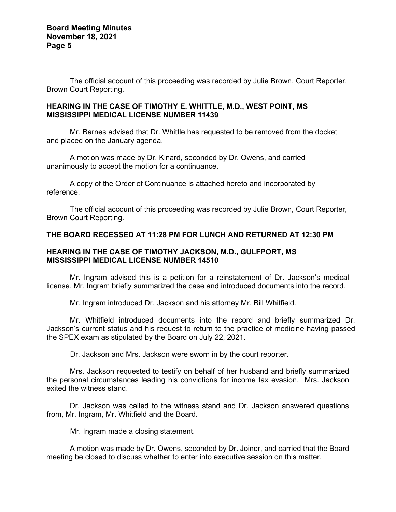The official account of this proceeding was recorded by Julie Brown, Court Reporter, Brown Court Reporting.

# **HEARING IN THE CASE OF TIMOTHY E. WHITTLE, M.D., WEST POINT, MS MISSISSIPPI MEDICAL LICENSE NUMBER 11439**

Mr. Barnes advised that Dr. Whittle has requested to be removed from the docket and placed on the January agenda.

A motion was made by Dr. Kinard, seconded by Dr. Owens, and carried unanimously to accept the motion for a continuance.

A copy of the Order of Continuance is attached hereto and incorporated by reference.

The official account of this proceeding was recorded by Julie Brown, Court Reporter, Brown Court Reporting.

# **THE BOARD RECESSED AT 11:28 PM FOR LUNCH AND RETURNED AT 12:30 PM**

#### **HEARING IN THE CASE OF TIMOTHY JACKSON, M.D., GULFPORT, MS MISSISSIPPI MEDICAL LICENSE NUMBER 14510**

Mr. Ingram advised this is a petition for a reinstatement of Dr. Jackson's medical license. Mr. Ingram briefly summarized the case and introduced documents into the record.

Mr. Ingram introduced Dr. Jackson and his attorney Mr. Bill Whitfield.

Mr. Whitfield introduced documents into the record and briefly summarized Dr. Jackson's current status and his request to return to the practice of medicine having passed the SPEX exam as stipulated by the Board on July 22, 2021.

Dr. Jackson and Mrs. Jackson were sworn in by the court reporter.

Mrs. Jackson requested to testify on behalf of her husband and briefly summarized the personal circumstances leading his convictions for income tax evasion. Mrs. Jackson exited the witness stand.

Dr. Jackson was called to the witness stand and Dr. Jackson answered questions from, Mr. Ingram, Mr. Whitfield and the Board.

Mr. Ingram made a closing statement.

A motion was made by Dr. Owens, seconded by Dr. Joiner, and carried that the Board meeting be closed to discuss whether to enter into executive session on this matter.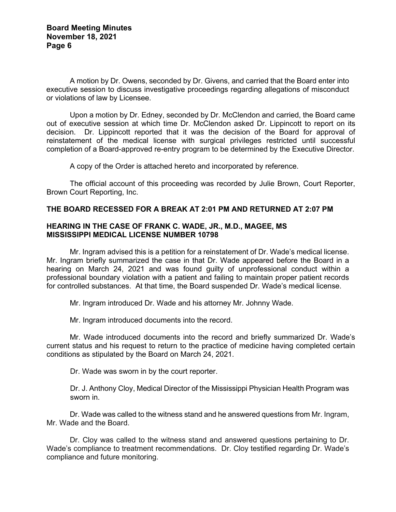A motion by Dr. Owens, seconded by Dr. Givens, and carried that the Board enter into executive session to discuss investigative proceedings regarding allegations of misconduct or violations of law by Licensee.

Upon a motion by Dr. Edney, seconded by Dr. McClendon and carried, the Board came out of executive session at which time Dr. McClendon asked Dr. Lippincott to report on its decision. Dr. Lippincott reported that it was the decision of the Board for approval of reinstatement of the medical license with surgical privileges restricted until successful completion of a Board-approved re-entry program to be determined by the Executive Director.

A copy of the Order is attached hereto and incorporated by reference.

The official account of this proceeding was recorded by Julie Brown, Court Reporter, Brown Court Reporting, Inc.

## **THE BOARD RECESSED FOR A BREAK AT 2:01 PM AND RETURNED AT 2:07 PM**

#### **HEARING IN THE CASE OF FRANK C. WADE, JR., M.D., MAGEE, MS MISSISSIPPI MEDICAL LICENSE NUMBER 10798**

Mr. Ingram advised this is a petition for a reinstatement of Dr. Wade's medical license. Mr. Ingram briefly summarized the case in that Dr. Wade appeared before the Board in a hearing on March 24, 2021 and was found guilty of unprofessional conduct within a professional boundary violation with a patient and failing to maintain proper patient records for controlled substances. At that time, the Board suspended Dr. Wade's medical license.

Mr. Ingram introduced Dr. Wade and his attorney Mr. Johnny Wade.

Mr. Ingram introduced documents into the record.

Mr. Wade introduced documents into the record and briefly summarized Dr. Wade's current status and his request to return to the practice of medicine having completed certain conditions as stipulated by the Board on March 24, 2021.

Dr. Wade was sworn in by the court reporter.

Dr. J. Anthony Cloy, Medical Director of the Mississippi Physician Health Program was sworn in.

Dr. Wade was called to the witness stand and he answered questions from Mr. Ingram, Mr. Wade and the Board.

Dr. Cloy was called to the witness stand and answered questions pertaining to Dr. Wade's compliance to treatment recommendations. Dr. Cloy testified regarding Dr. Wade's compliance and future monitoring.